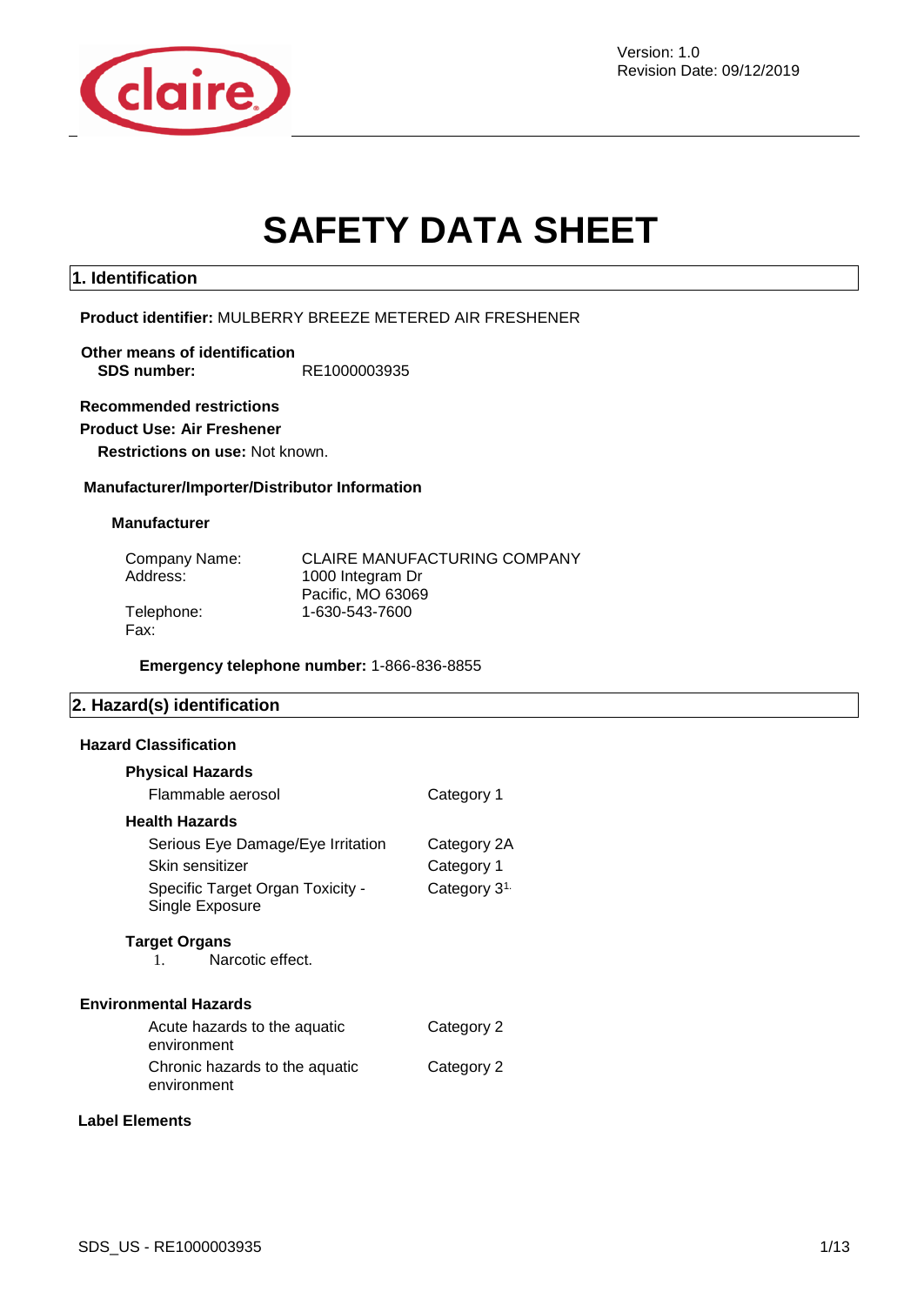

Revision Date: 09/12/2019

# **SAFETY DATA SHEET**

### **1. Identification**

### **Product identifier:** MULBERRY BREEZE METERED AIR FRESHENER

### **Other means of identification SDS number:** RE1000003935

### **Recommended restrictions**

### **Product Use: Air Freshener**

**Restrictions on use:** Not known.

#### **Manufacturer/Importer/Distributor Information**

#### **Manufacturer**

| Company Name: | <b>CLAIRE MANUFACTURING COMPANY</b> |
|---------------|-------------------------------------|
| Address:      | 1000 Integram Dr                    |
|               | Pacific, MO 63069                   |
| Telephone:    | 1-630-543-7600                      |
| Fax:          |                                     |

**Emergency telephone number:** 1-866-836-8855

### **2. Hazard(s) identification**

#### **Hazard Classification**

| <b>Physical Hazards</b>                             |                          |
|-----------------------------------------------------|--------------------------|
| Flammable aerosol                                   | Category 1               |
| <b>Health Hazards</b>                               |                          |
| Serious Eye Damage/Eye Irritation                   | Category 2A              |
| Skin sensitizer                                     | Category 1               |
| Specific Target Organ Toxicity -<br>Single Exposure | Category 3 <sup>1.</sup> |
| <b>Target Organs</b><br>Narcotic effect.<br>$1_{-}$ |                          |
| <b>Environmental Hazards</b>                        |                          |
| Acute hazards to the aquatic<br>environment         | Category 2               |
| Chronic hazards to the aquatic<br>environment       | Category 2               |

### **Label Elements**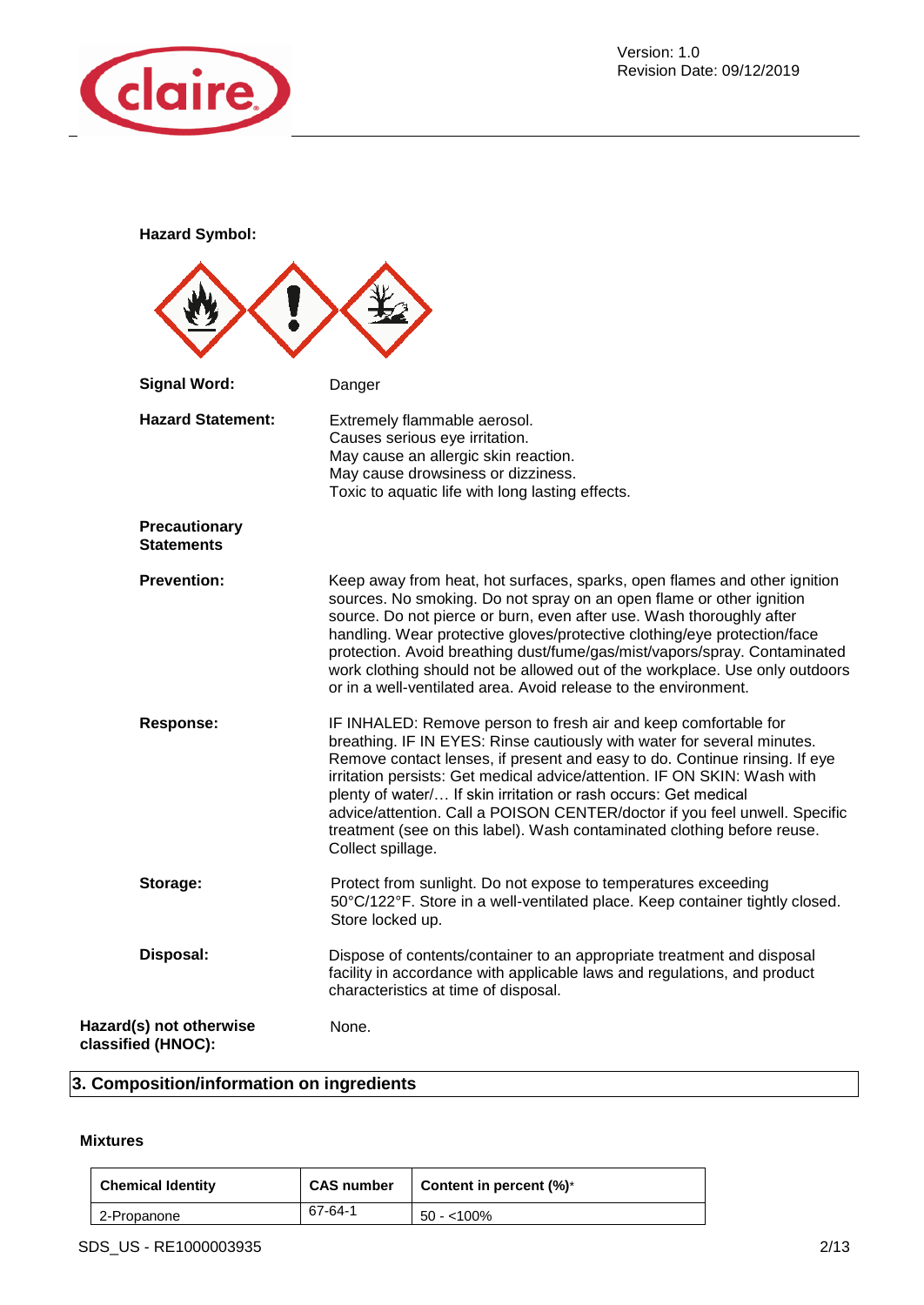

**Hazard Symbol:** 

| <b>Signal Word:</b>                           | Danger                                                                                                                                                                                                                                                                                                                                                                                                                                                                                                                                                |
|-----------------------------------------------|-------------------------------------------------------------------------------------------------------------------------------------------------------------------------------------------------------------------------------------------------------------------------------------------------------------------------------------------------------------------------------------------------------------------------------------------------------------------------------------------------------------------------------------------------------|
| <b>Hazard Statement:</b>                      | Extremely flammable aerosol.<br>Causes serious eye irritation.<br>May cause an allergic skin reaction.<br>May cause drowsiness or dizziness.<br>Toxic to aquatic life with long lasting effects.                                                                                                                                                                                                                                                                                                                                                      |
| <b>Precautionary</b><br><b>Statements</b>     |                                                                                                                                                                                                                                                                                                                                                                                                                                                                                                                                                       |
| <b>Prevention:</b>                            | Keep away from heat, hot surfaces, sparks, open flames and other ignition<br>sources. No smoking. Do not spray on an open flame or other ignition<br>source. Do not pierce or burn, even after use. Wash thoroughly after<br>handling. Wear protective gloves/protective clothing/eye protection/face<br>protection. Avoid breathing dust/fume/gas/mist/vapors/spray. Contaminated<br>work clothing should not be allowed out of the workplace. Use only outdoors<br>or in a well-ventilated area. Avoid release to the environment.                  |
| <b>Response:</b>                              | IF INHALED: Remove person to fresh air and keep comfortable for<br>breathing. IF IN EYES: Rinse cautiously with water for several minutes.<br>Remove contact lenses, if present and easy to do. Continue rinsing. If eye<br>irritation persists: Get medical advice/attention. IF ON SKIN: Wash with<br>plenty of water/ If skin irritation or rash occurs: Get medical<br>advice/attention. Call a POISON CENTER/doctor if you feel unwell. Specific<br>treatment (see on this label). Wash contaminated clothing before reuse.<br>Collect spillage. |
| Storage:                                      | Protect from sunlight. Do not expose to temperatures exceeding<br>50°C/122°F. Store in a well-ventilated place. Keep container tightly closed.<br>Store locked up.                                                                                                                                                                                                                                                                                                                                                                                    |
| Disposal:                                     | Dispose of contents/container to an appropriate treatment and disposal<br>facility in accordance with applicable laws and regulations, and product<br>characteristics at time of disposal.                                                                                                                                                                                                                                                                                                                                                            |
| Hazard(s) not otherwise<br>classified (HNOC): | None.                                                                                                                                                                                                                                                                                                                                                                                                                                                                                                                                                 |

### **3. Composition/information on ingredients**

### **Mixtures**

| <b>Chemical Identity</b> | <b>CAS number</b> | Content in percent $(\%)^*$ |
|--------------------------|-------------------|-----------------------------|
| 2-Propanone              | 67-64-1           | 50 - <100%                  |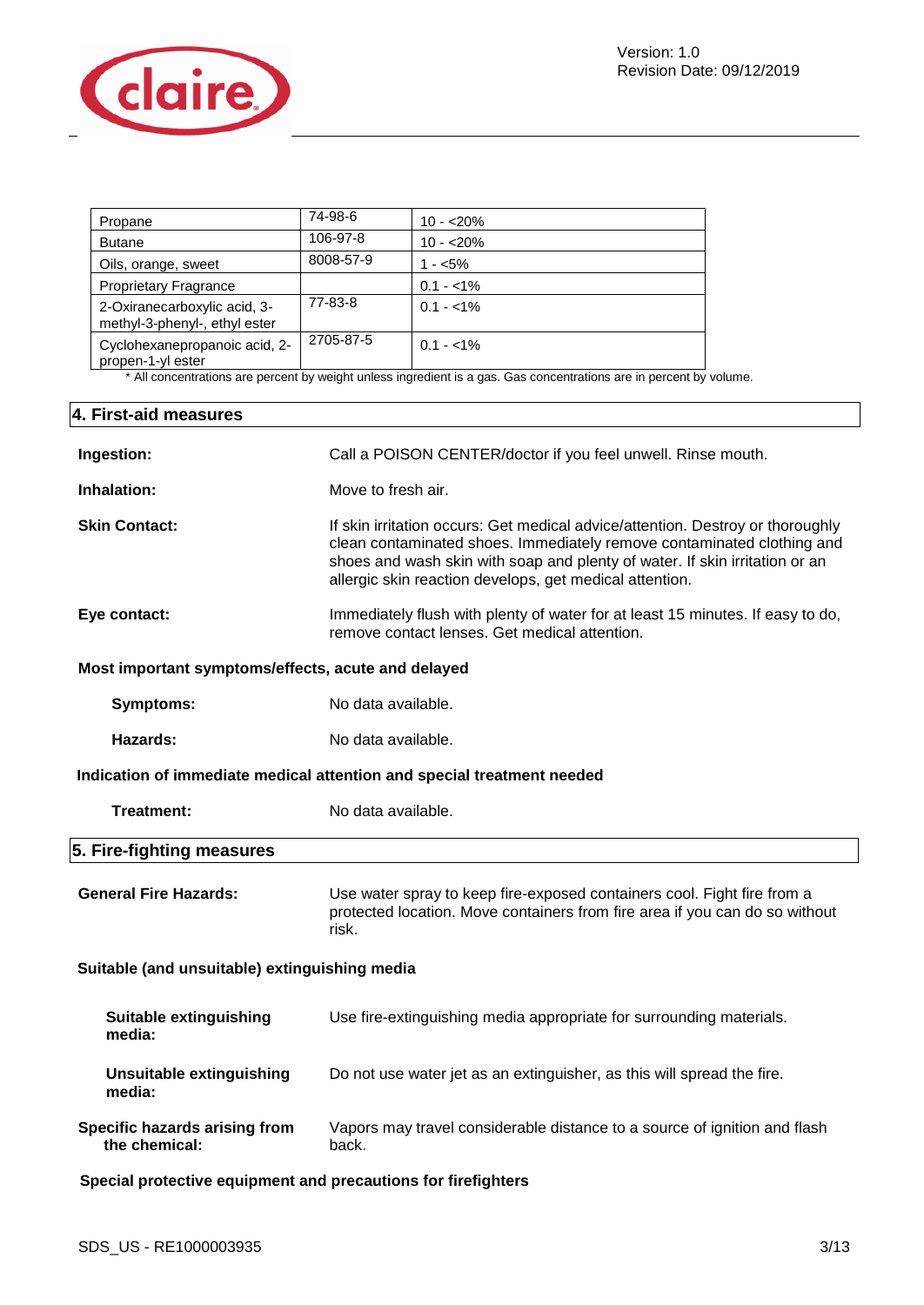

| Propane                                                       | 74-98-6   | $10 - 20%$  |
|---------------------------------------------------------------|-----------|-------------|
| <b>Butane</b>                                                 | 106-97-8  | $10 - 20%$  |
| Oils, orange, sweet                                           | 8008-57-9 | $1 - 5\%$   |
| <b>Proprietary Fragrance</b>                                  |           | $0.1 - 1\%$ |
| 2-Oxiranecarboxylic acid, 3-<br>methyl-3-phenyl-, ethyl ester | 77-83-8   | $0.1 - 1\%$ |
| Cyclohexanepropanoic acid, 2-<br>propen-1-yl ester            | 2705-87-5 | $0.1 - 1\%$ |

\* All concentrations are percent by weight unless ingredient is a gas. Gas concentrations are in percent by volume.

| 4. First-aid measures                                         |                                                                                                                                                                                                                                                                                                    |
|---------------------------------------------------------------|----------------------------------------------------------------------------------------------------------------------------------------------------------------------------------------------------------------------------------------------------------------------------------------------------|
| Ingestion:                                                    | Call a POISON CENTER/doctor if you feel unwell. Rinse mouth.                                                                                                                                                                                                                                       |
| Inhalation:                                                   | Move to fresh air.                                                                                                                                                                                                                                                                                 |
| <b>Skin Contact:</b>                                          | If skin irritation occurs: Get medical advice/attention. Destroy or thoroughly<br>clean contaminated shoes. Immediately remove contaminated clothing and<br>shoes and wash skin with soap and plenty of water. If skin irritation or an<br>allergic skin reaction develops, get medical attention. |
| Eye contact:                                                  | Immediately flush with plenty of water for at least 15 minutes. If easy to do,<br>remove contact lenses. Get medical attention.                                                                                                                                                                    |
| Most important symptoms/effects, acute and delayed            |                                                                                                                                                                                                                                                                                                    |
| <b>Symptoms:</b>                                              | No data available.                                                                                                                                                                                                                                                                                 |
| Hazards:                                                      | No data available.                                                                                                                                                                                                                                                                                 |
|                                                               | Indication of immediate medical attention and special treatment needed                                                                                                                                                                                                                             |
| <b>Treatment:</b>                                             | No data available.                                                                                                                                                                                                                                                                                 |
| 5. Fire-fighting measures                                     |                                                                                                                                                                                                                                                                                                    |
| <b>General Fire Hazards:</b>                                  | Use water spray to keep fire-exposed containers cool. Fight fire from a<br>protected location. Move containers from fire area if you can do so without<br>risk.                                                                                                                                    |
| Suitable (and unsuitable) extinguishing media                 |                                                                                                                                                                                                                                                                                                    |
| <b>Suitable extinguishing</b><br>media:                       | Use fire-extinguishing media appropriate for surrounding materials.                                                                                                                                                                                                                                |
| <b>Unsuitable extinguishing</b><br>media:                     | Do not use water jet as an extinguisher, as this will spread the fire.                                                                                                                                                                                                                             |
| Specific hazards arising from<br>the chemical:                | Vapors may travel considerable distance to a source of ignition and flash<br>back.                                                                                                                                                                                                                 |
| Special protective equipment and precautions for firefighters |                                                                                                                                                                                                                                                                                                    |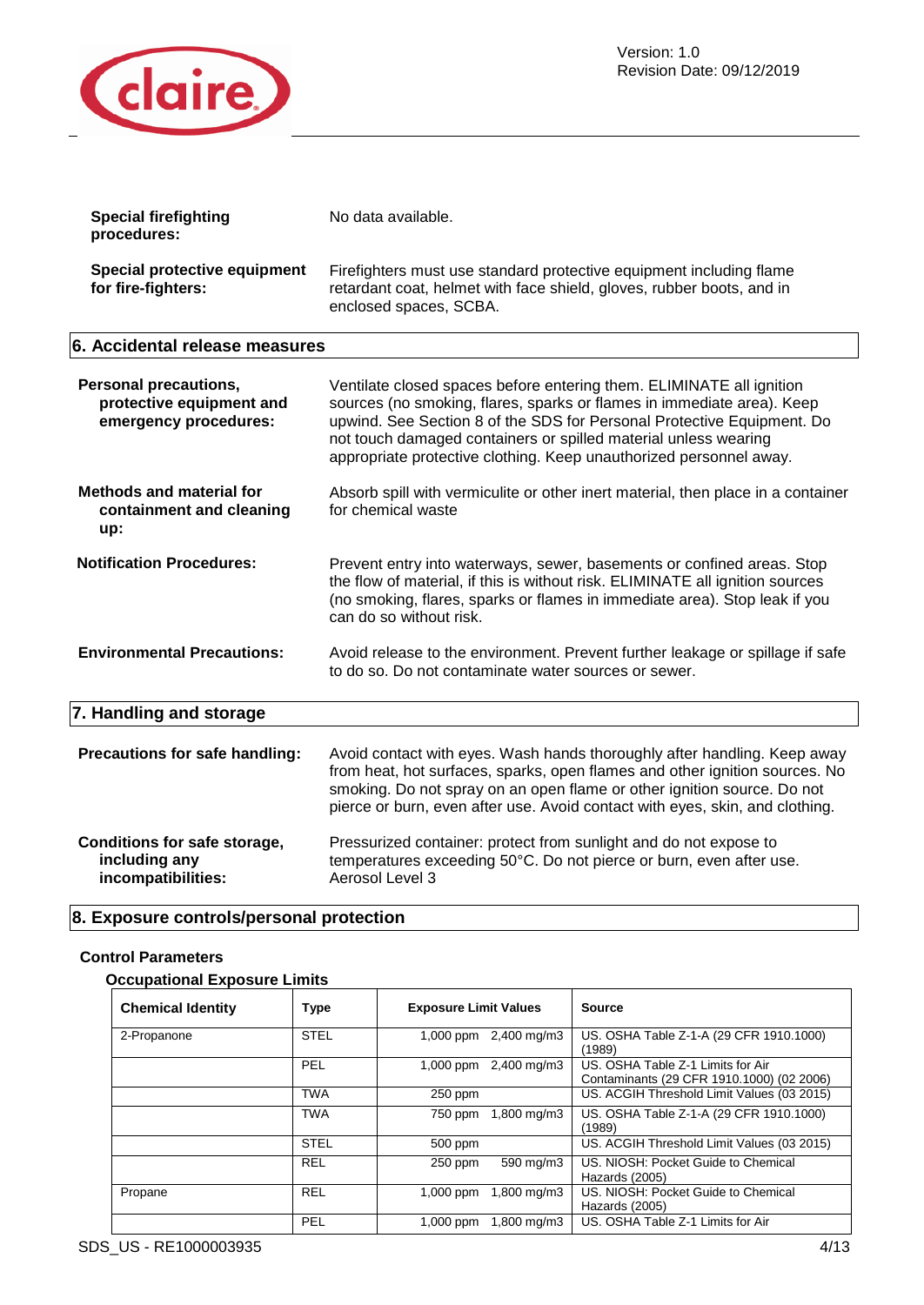

| <b>Special firefighting</b><br>procedures:                                        | No data available.                                                                                                                                                                                                                                                                                                                                                |  |
|-----------------------------------------------------------------------------------|-------------------------------------------------------------------------------------------------------------------------------------------------------------------------------------------------------------------------------------------------------------------------------------------------------------------------------------------------------------------|--|
| <b>Special protective equipment</b><br>for fire-fighters:                         | Firefighters must use standard protective equipment including flame<br>retardant coat, helmet with face shield, gloves, rubber boots, and in<br>enclosed spaces, SCBA.                                                                                                                                                                                            |  |
| 6. Accidental release measures                                                    |                                                                                                                                                                                                                                                                                                                                                                   |  |
| <b>Personal precautions,</b><br>protective equipment and<br>emergency procedures: | Ventilate closed spaces before entering them. ELIMINATE all ignition<br>sources (no smoking, flares, sparks or flames in immediate area). Keep<br>upwind. See Section 8 of the SDS for Personal Protective Equipment. Do<br>not touch damaged containers or spilled material unless wearing<br>appropriate protective clothing. Keep unauthorized personnel away. |  |
| <b>Methods and material for</b><br>containment and cleaning<br>up:                | Absorb spill with vermiculite or other inert material, then place in a container<br>for chemical waste                                                                                                                                                                                                                                                            |  |
| <b>Notification Procedures:</b>                                                   | Prevent entry into waterways, sewer, basements or confined areas. Stop<br>the flow of material, if this is without risk. ELIMINATE all ignition sources<br>(no smoking, flares, sparks or flames in immediate area). Stop leak if you<br>can do so without risk.                                                                                                  |  |
| <b>Environmental Precautions:</b>                                                 | Avoid release to the environment. Prevent further leakage or spillage if safe<br>to do so. Do not contaminate water sources or sewer.                                                                                                                                                                                                                             |  |
| 7. Handling and storage                                                           |                                                                                                                                                                                                                                                                                                                                                                   |  |
| Precautions for safe handling:                                                    | Avoid contact with eyes. Wash hands thoroughly after handling. Keep away<br>from heat, hot surfaces, sparks, open flames and other ignition sources. No<br>smoking. Do not spray on an open flame or other ignition source. Do not<br>pierce or burn, even after use. Avoid contact with eyes, skin, and clothing.                                                |  |
| <b>Conditions for safe storage,</b><br>including any<br>incompatibilities:        | Pressurized container: protect from sunlight and do not expose to<br>temperatures exceeding 50°C. Do not pierce or burn, even after use.<br>Aerosol Level 3                                                                                                                                                                                                       |  |

### **8. Exposure controls/personal protection**

### **Control Parameters**

### **Occupational Exposure Limits**

| <b>Chemical Identity</b> | <b>Type</b> | <b>Exposure Limit Values</b> | <b>Source</b>                                                                  |
|--------------------------|-------------|------------------------------|--------------------------------------------------------------------------------|
| 2-Propanone              | <b>STEL</b> | 1,000 ppm 2,400 mg/m3        | US. OSHA Table Z-1-A (29 CFR 1910.1000)<br>(1989)                              |
|                          | PEL         | 1,000 ppm 2,400 mg/m3        | US. OSHA Table Z-1 Limits for Air<br>Contaminants (29 CFR 1910.1000) (02 2006) |
|                          | <b>TWA</b>  | $250$ ppm                    | US. ACGIH Threshold Limit Values (03 2015)                                     |
|                          | <b>TWA</b>  | 1,800 mg/m3<br>750 ppm       | US. OSHA Table Z-1-A (29 CFR 1910.1000)<br>(1989)                              |
|                          | <b>STEL</b> | 500 ppm                      | US. ACGIH Threshold Limit Values (03 2015)                                     |
|                          | <b>REL</b>  | 590 mg/m3<br>$250$ ppm       | US. NIOSH: Pocket Guide to Chemical<br>Hazards (2005)                          |
| Propane                  | <b>REL</b>  | 1,800 mg/m3<br>$1,000$ ppm   | US. NIOSH: Pocket Guide to Chemical<br>Hazards (2005)                          |
|                          | PEL         | 1,800 mg/m3<br>$1.000$ ppm   | US. OSHA Table Z-1 Limits for Air                                              |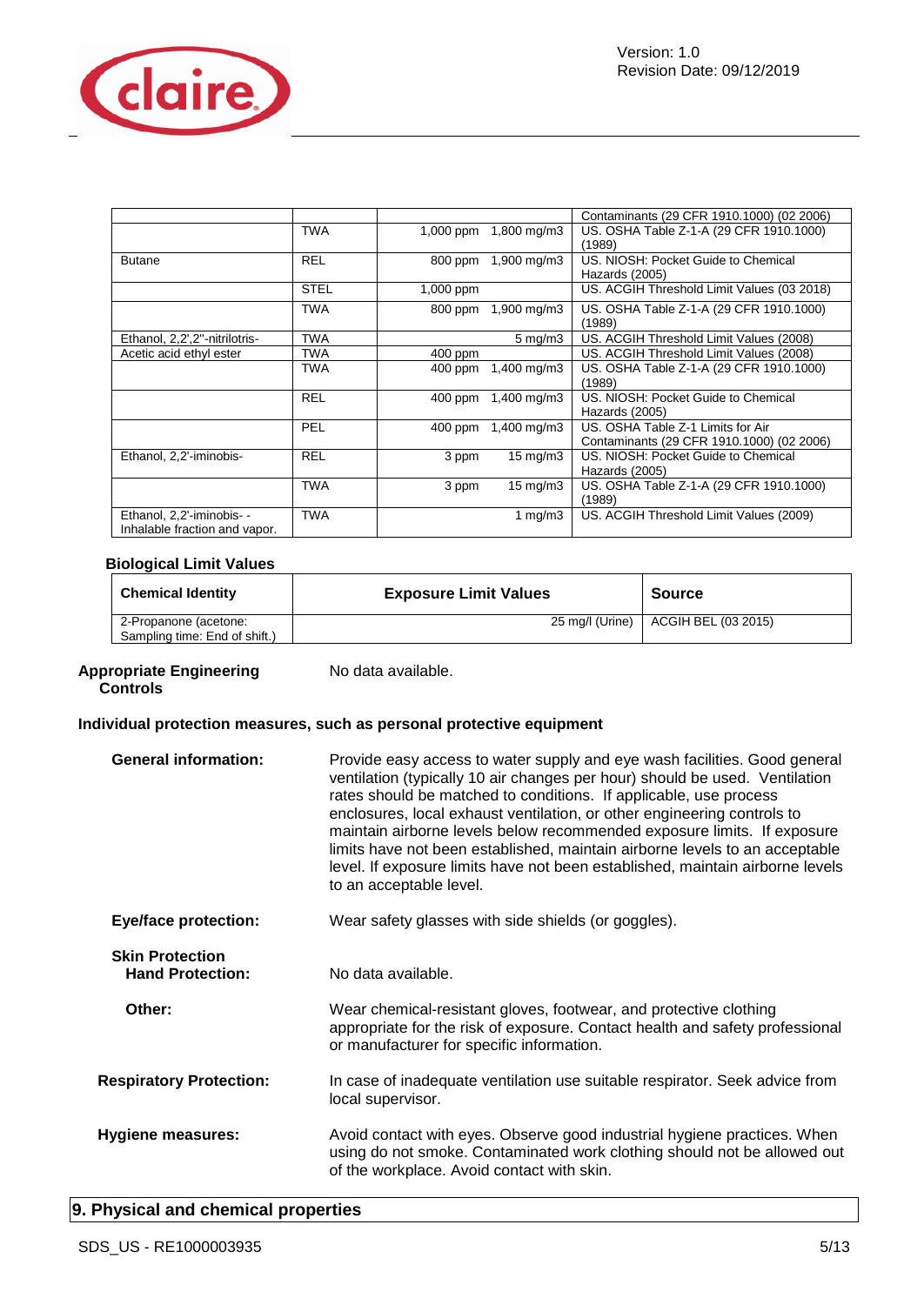

|                                                            |             |           |                         | Contaminants (29 CFR 1910.1000) (02 2006)  |
|------------------------------------------------------------|-------------|-----------|-------------------------|--------------------------------------------|
|                                                            | TWA         | 1,000 ppm | 1,800 mg/m3             | US. OSHA Table Z-1-A (29 CFR 1910.1000)    |
|                                                            |             |           |                         | (1989)                                     |
| <b>Butane</b>                                              | <b>REL</b>  | 800 ppm   | $1,900 \,\mathrm{mg/m}$ | US. NIOSH: Pocket Guide to Chemical        |
|                                                            |             |           |                         | Hazards (2005)                             |
|                                                            | <b>STEL</b> | 1,000 ppm |                         | US. ACGIH Threshold Limit Values (03 2018) |
|                                                            | TWA         | 800 ppm   | $1,900 \,\mathrm{mg/m}$ | US. OSHA Table Z-1-A (29 CFR 1910.1000)    |
|                                                            |             |           |                         | (1989)                                     |
| Ethanol, 2,2',2"-nitrilotris-                              | TWA         |           | $5 \,\mathrm{mq/m}$ 3   | US. ACGIH Threshold Limit Values (2008)    |
| Acetic acid ethyl ester                                    | TWA         | 400 ppm   |                         | US. ACGIH Threshold Limit Values (2008)    |
|                                                            | TWA         | $400$ ppm | $1,400 \,\mathrm{mg/m}$ | US. OSHA Table Z-1-A (29 CFR 1910.1000)    |
|                                                            |             |           |                         | (1989)                                     |
|                                                            | <b>REL</b>  | $400$ ppm | 1,400 mg/m3             | US. NIOSH: Pocket Guide to Chemical        |
|                                                            |             |           |                         | Hazards (2005)                             |
|                                                            | PEL         | $400$ ppm | $1,400 \,\mathrm{mg/m}$ | US. OSHA Table Z-1 Limits for Air          |
|                                                            |             |           |                         | Contaminants (29 CFR 1910.1000) (02 2006)  |
| Ethanol, 2,2'-iminobis-                                    | <b>REL</b>  | 3 ppm     | $15 \text{ mg/m}$       | US. NIOSH: Pocket Guide to Chemical        |
|                                                            |             |           |                         | Hazards (2005)                             |
|                                                            | <b>TWA</b>  | 3 ppm     | $15 \text{ mg/m}$       | US. OSHA Table Z-1-A (29 CFR 1910.1000)    |
|                                                            |             |           |                         | (1989)                                     |
| Ethanol, 2,2'-iminobis- -<br>Inhalable fraction and vapor. | <b>TWA</b>  |           | 1 mg/m $3$              | US. ACGIH Threshold Limit Values (2009)    |

### **Biological Limit Values**

| <b>Chemical Identity</b>      | <b>Exposure Limit Values</b> | Source              |
|-------------------------------|------------------------------|---------------------|
| 2-Propanone (acetone:         | 25 mg/l (Urine)              | ACGIH BEL (03 2015) |
| Sampling time: End of shift.) |                              |                     |

#### Appropriate Engineering No data available. **Controls**

### **Individual protection measures, such as personal protective equipment**

| <b>General information:</b>                       | Provide easy access to water supply and eye wash facilities. Good general<br>ventilation (typically 10 air changes per hour) should be used. Ventilation<br>rates should be matched to conditions. If applicable, use process<br>enclosures, local exhaust ventilation, or other engineering controls to<br>maintain airborne levels below recommended exposure limits. If exposure<br>limits have not been established, maintain airborne levels to an acceptable<br>level. If exposure limits have not been established, maintain airborne levels<br>to an acceptable level. |
|---------------------------------------------------|--------------------------------------------------------------------------------------------------------------------------------------------------------------------------------------------------------------------------------------------------------------------------------------------------------------------------------------------------------------------------------------------------------------------------------------------------------------------------------------------------------------------------------------------------------------------------------|
| <b>Eye/face protection:</b>                       | Wear safety glasses with side shields (or goggles).                                                                                                                                                                                                                                                                                                                                                                                                                                                                                                                            |
| <b>Skin Protection</b><br><b>Hand Protection:</b> | No data available.                                                                                                                                                                                                                                                                                                                                                                                                                                                                                                                                                             |
| Other:                                            | Wear chemical-resistant gloves, footwear, and protective clothing<br>appropriate for the risk of exposure. Contact health and safety professional<br>or manufacturer for specific information.                                                                                                                                                                                                                                                                                                                                                                                 |
| <b>Respiratory Protection:</b>                    | In case of inadequate ventilation use suitable respirator. Seek advice from<br>local supervisor.                                                                                                                                                                                                                                                                                                                                                                                                                                                                               |
| <b>Hygiene measures:</b>                          | Avoid contact with eyes. Observe good industrial hygiene practices. When<br>using do not smoke. Contaminated work clothing should not be allowed out<br>of the workplace. Avoid contact with skin.                                                                                                                                                                                                                                                                                                                                                                             |

### **9. Physical and chemical properties**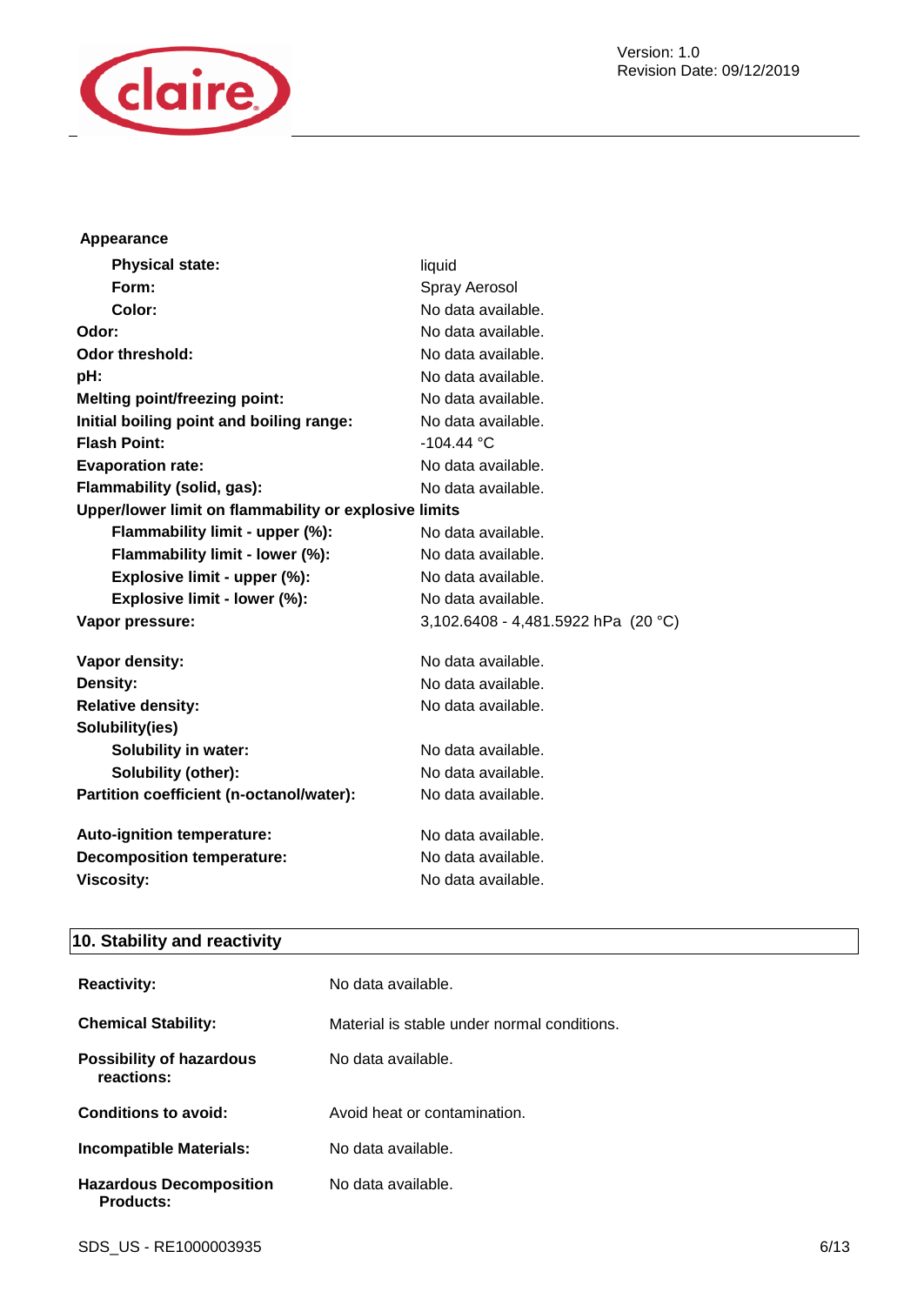

#### **Appearance**

| <b>Physical state:</b>                                | liquid                              |
|-------------------------------------------------------|-------------------------------------|
| Form:                                                 | Spray Aerosol                       |
| Color:                                                | No data available.                  |
| Odor:                                                 | No data available.                  |
| <b>Odor threshold:</b>                                | No data available.                  |
| pH:                                                   | No data available.                  |
| <b>Melting point/freezing point:</b>                  | No data available.                  |
| Initial boiling point and boiling range:              | No data available.                  |
| <b>Flash Point:</b>                                   | $-104.44 °C$                        |
| <b>Evaporation rate:</b>                              | No data available.                  |
| Flammability (solid, gas):                            | No data available.                  |
| Upper/lower limit on flammability or explosive limits |                                     |
| Flammability limit - upper (%):                       | No data available.                  |
| Flammability limit - lower (%):                       | No data available.                  |
| Explosive limit - upper (%):                          | No data available.                  |
| Explosive limit - lower (%):                          | No data available.                  |
| Vapor pressure:                                       | 3,102.6408 - 4,481.5922 hPa (20 °C) |
| Vapor density:                                        | No data available.                  |
| Density:                                              | No data available.                  |
| <b>Relative density:</b>                              | No data available.                  |
| Solubility(ies)                                       |                                     |
| <b>Solubility in water:</b>                           | No data available.                  |
| Solubility (other):                                   | No data available.                  |
| Partition coefficient (n-octanol/water):              | No data available.                  |
| Auto-ignition temperature:                            | No data available.                  |
| <b>Decomposition temperature:</b>                     | No data available.                  |
| <b>Viscosity:</b>                                     | No data available.                  |

### **10. Stability and reactivity**

| <b>Reactivity:</b>                                 | No data available.                          |
|----------------------------------------------------|---------------------------------------------|
| <b>Chemical Stability:</b>                         | Material is stable under normal conditions. |
| <b>Possibility of hazardous</b><br>reactions:      | No data available.                          |
| Conditions to avoid:                               | Avoid heat or contamination.                |
| <b>Incompatible Materials:</b>                     | No data available.                          |
| <b>Hazardous Decomposition</b><br><b>Products:</b> | No data available.                          |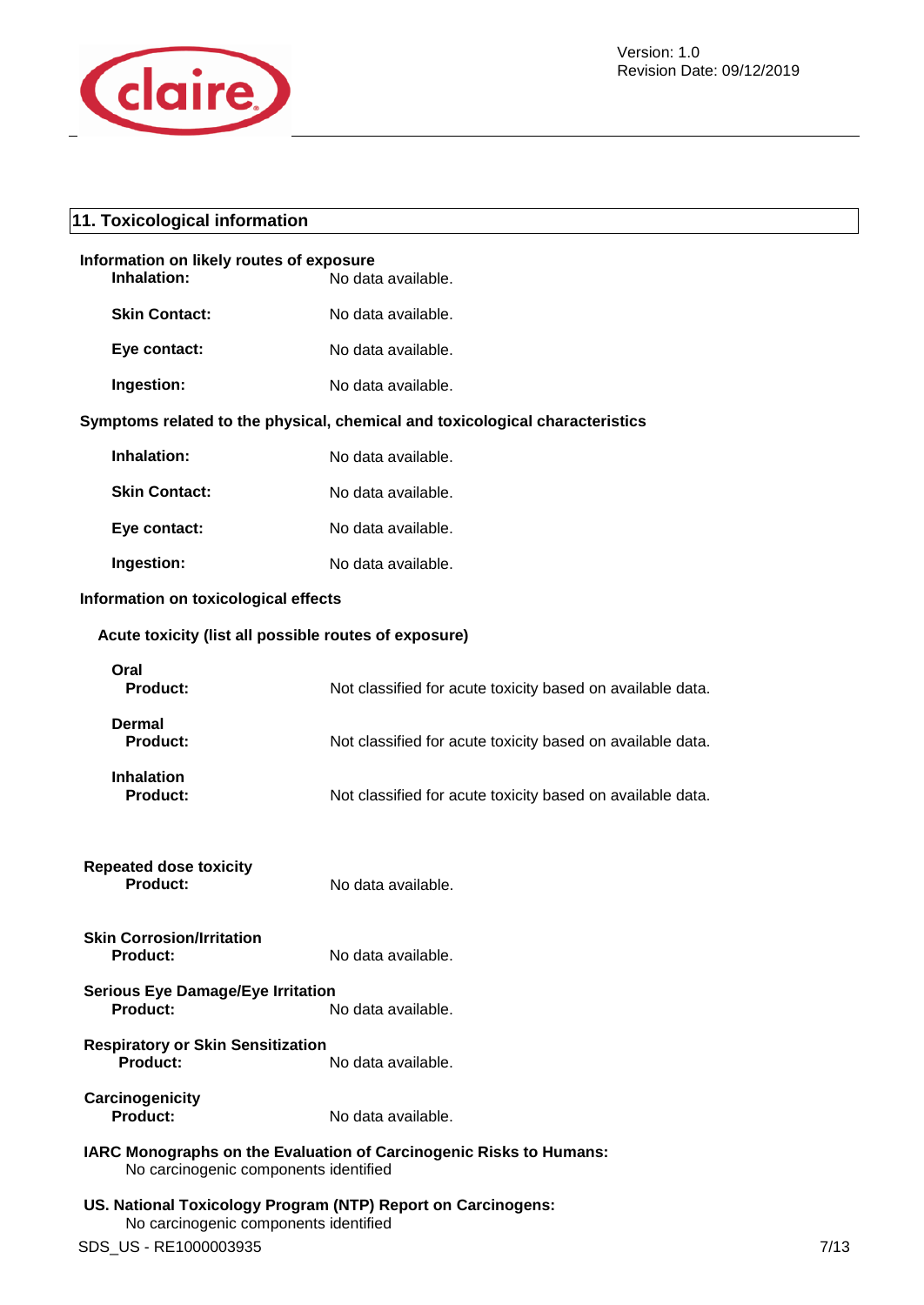

### **11. Toxicological information**

| Information on likely routes of exposure<br>Inhalation:                                                     | No data available.                                         |  |
|-------------------------------------------------------------------------------------------------------------|------------------------------------------------------------|--|
| <b>Skin Contact:</b>                                                                                        | No data available.                                         |  |
| Eye contact:                                                                                                | No data available.                                         |  |
| Ingestion:                                                                                                  | No data available.                                         |  |
| Symptoms related to the physical, chemical and toxicological characteristics                                |                                                            |  |
| Inhalation:                                                                                                 | No data available.                                         |  |
| <b>Skin Contact:</b>                                                                                        | No data available.                                         |  |
| Eye contact:                                                                                                | No data available.                                         |  |
| Ingestion:                                                                                                  | No data available.                                         |  |
| Information on toxicological effects                                                                        |                                                            |  |
| Acute toxicity (list all possible routes of exposure)                                                       |                                                            |  |
| Oral<br><b>Product:</b>                                                                                     | Not classified for acute toxicity based on available data. |  |
| Dermal<br><b>Product:</b>                                                                                   | Not classified for acute toxicity based on available data. |  |
| <b>Inhalation</b><br><b>Product:</b>                                                                        | Not classified for acute toxicity based on available data. |  |
| <b>Repeated dose toxicity</b><br><b>Product:</b>                                                            | No data available.                                         |  |
| <b>Skin Corrosion/Irritation</b><br><b>Product:</b>                                                         | No data available.                                         |  |
| <b>Serious Eye Damage/Eye Irritation</b><br>Product:                                                        | No data available.                                         |  |
| <b>Respiratory or Skin Sensitization</b><br>Product:                                                        | No data available.                                         |  |
| Carcinogenicity<br><b>Product:</b>                                                                          | No data available.                                         |  |
| IARC Monographs on the Evaluation of Carcinogenic Risks to Humans:<br>No carcinogenic components identified |                                                            |  |
| US. National Toxicology Program (NTP) Report on Carcinogens:<br>No carcinogenic components identified       |                                                            |  |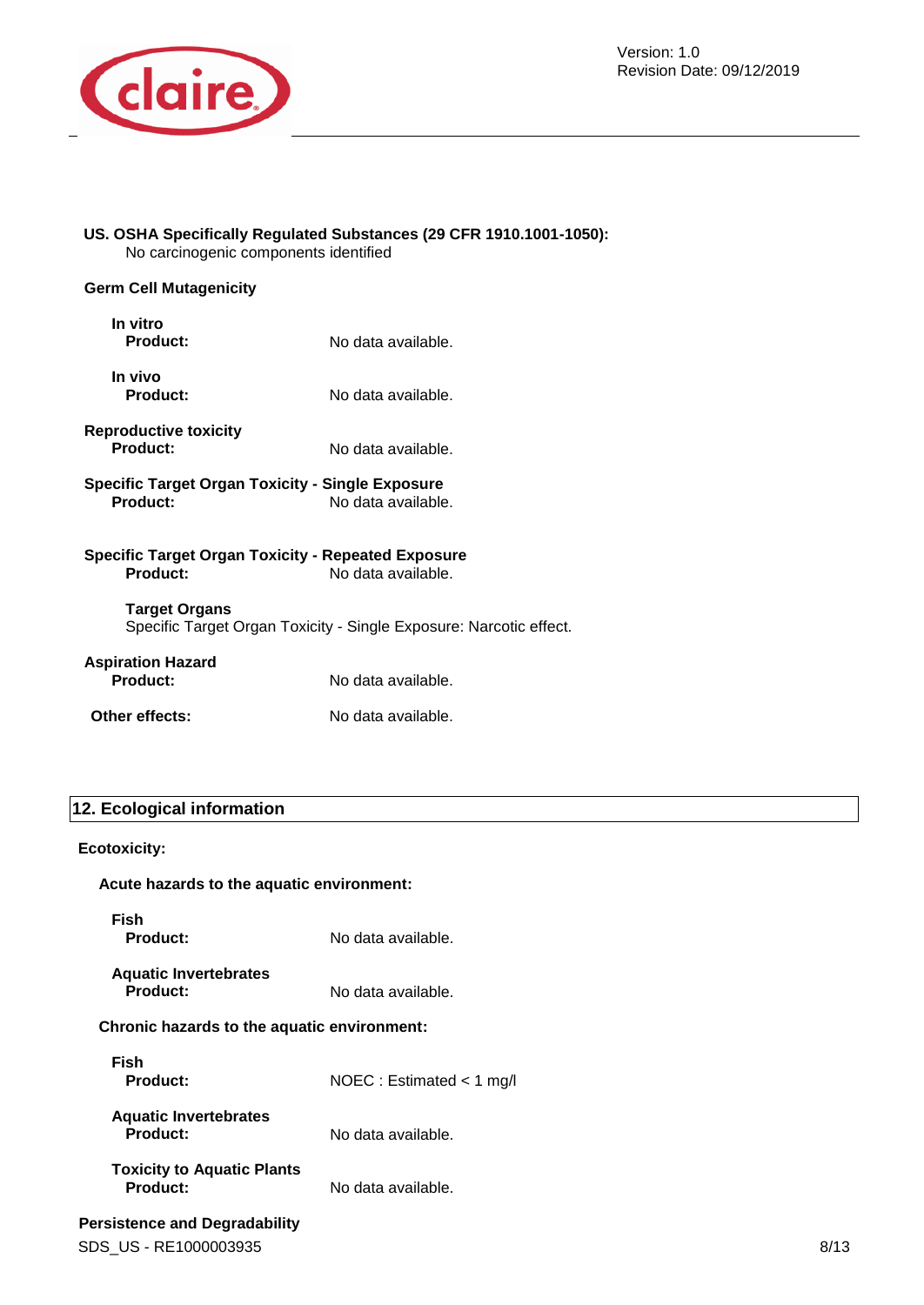

#### **US. OSHA Specifically Regulated Substances (29 CFR 1910.1001-1050):**  No carcinogenic components identified

### **Germ Cell Mutagenicity**

| In vitro<br>Product:                                                  | No data available.                                                 |
|-----------------------------------------------------------------------|--------------------------------------------------------------------|
| In vivo<br>Product:                                                   | No data available.                                                 |
| <b>Reproductive toxicity</b><br>Product:                              | No data available.                                                 |
| Specific Target Organ Toxicity - Single Exposure<br>Product:          | No data available.                                                 |
| <b>Specific Target Organ Toxicity - Repeated Exposure</b><br>Product: | No data available.                                                 |
| <b>Target Organs</b>                                                  | Specific Target Organ Toxicity - Single Exposure: Narcotic effect. |
| <b>Aspiration Hazard</b><br>Product:                                  | No data available.                                                 |

## **Other effects:** No data available.

### **12. Ecological information**

#### **Ecotoxicity:**

#### **Acute hazards to the aquatic environment:**

**Fish** 

No data available.

**Aquatic Invertebrates**  No data available.

#### **Chronic hazards to the aquatic environment:**

| Fish<br>Product:                              | NOEC : Estimated $<$ 1 mg/l |
|-----------------------------------------------|-----------------------------|
| <b>Aquatic Invertebrates</b><br>Product:      | No data available.          |
| <b>Toxicity to Aquatic Plants</b><br>Product: | No data available.          |

### **Persistence and Degradability**

SDS US - RE1000003935 8/13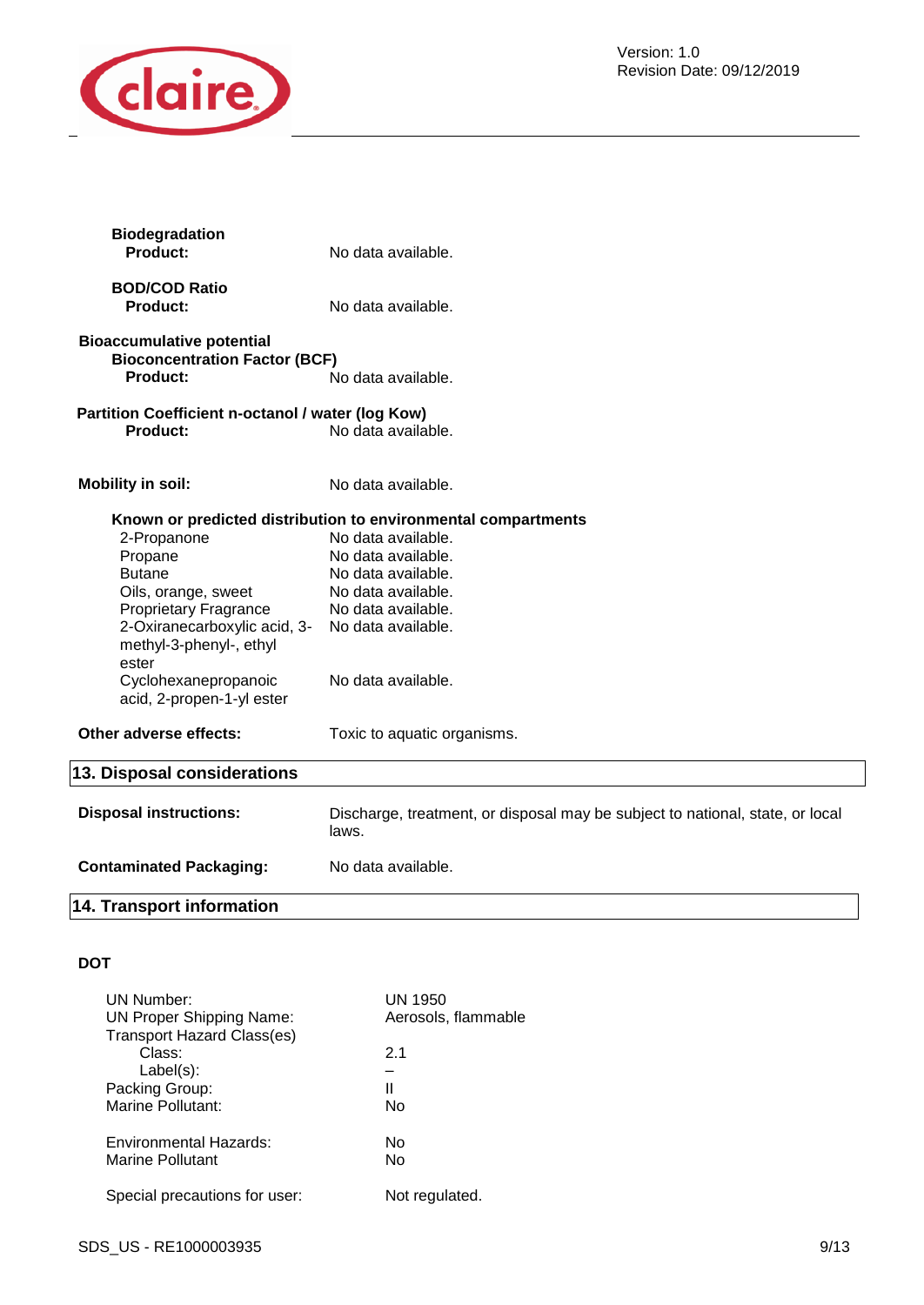

| <b>Biodegradation</b><br>Product:                            | No data available.                                                                     |
|--------------------------------------------------------------|----------------------------------------------------------------------------------------|
|                                                              |                                                                                        |
| <b>BOD/COD Ratio</b>                                         |                                                                                        |
| <b>Product:</b>                                              | No data available.                                                                     |
| <b>Bioaccumulative potential</b>                             |                                                                                        |
| <b>Bioconcentration Factor (BCF)</b>                         |                                                                                        |
| Product:                                                     | No data available.                                                                     |
| Partition Coefficient n-octanol / water (log Kow)            |                                                                                        |
| <b>Product:</b>                                              | No data available.                                                                     |
|                                                              |                                                                                        |
| <b>Mobility in soil:</b>                                     | No data available.                                                                     |
|                                                              | Known or predicted distribution to environmental compartments                          |
| 2-Propanone                                                  | No data available.                                                                     |
| Propane                                                      | No data available.                                                                     |
| <b>Butane</b>                                                | No data available.                                                                     |
|                                                              | No data available.                                                                     |
| Oils, orange, sweet                                          |                                                                                        |
| <b>Proprietary Fragrance</b><br>2-Oxiranecarboxylic acid, 3- | No data available.<br>No data available.                                               |
|                                                              |                                                                                        |
| methyl-3-phenyl-, ethyl                                      |                                                                                        |
| ester                                                        |                                                                                        |
| Cyclohexanepropanoic                                         | No data available.                                                                     |
| acid, 2-propen-1-yl ester                                    |                                                                                        |
| Other adverse effects:                                       | Toxic to aquatic organisms.                                                            |
| 13. Disposal considerations                                  |                                                                                        |
|                                                              |                                                                                        |
| <b>Disposal instructions:</b>                                | Discharge, treatment, or disposal may be subject to national, state, or local<br>laws. |
| <b>Contaminated Packaging:</b>                               | No data available.                                                                     |
| <b>14. Transport information</b>                             |                                                                                        |
|                                                              |                                                                                        |

### **DOT**

| UN Number:<br>UN Proper Shipping Name:<br><b>Transport Hazard Class(es)</b> | UN 1950<br>Aerosols, flammable |
|-----------------------------------------------------------------------------|--------------------------------|
| Class:                                                                      | 21                             |
| $Label(s)$ :                                                                |                                |
| Packing Group:                                                              | Ш                              |
| Marine Pollutant:                                                           | N٥                             |
| <b>Environmental Hazards:</b>                                               | N٥                             |
| Marine Pollutant                                                            | N٥                             |
| Special precautions for user:                                               | Not regulated.                 |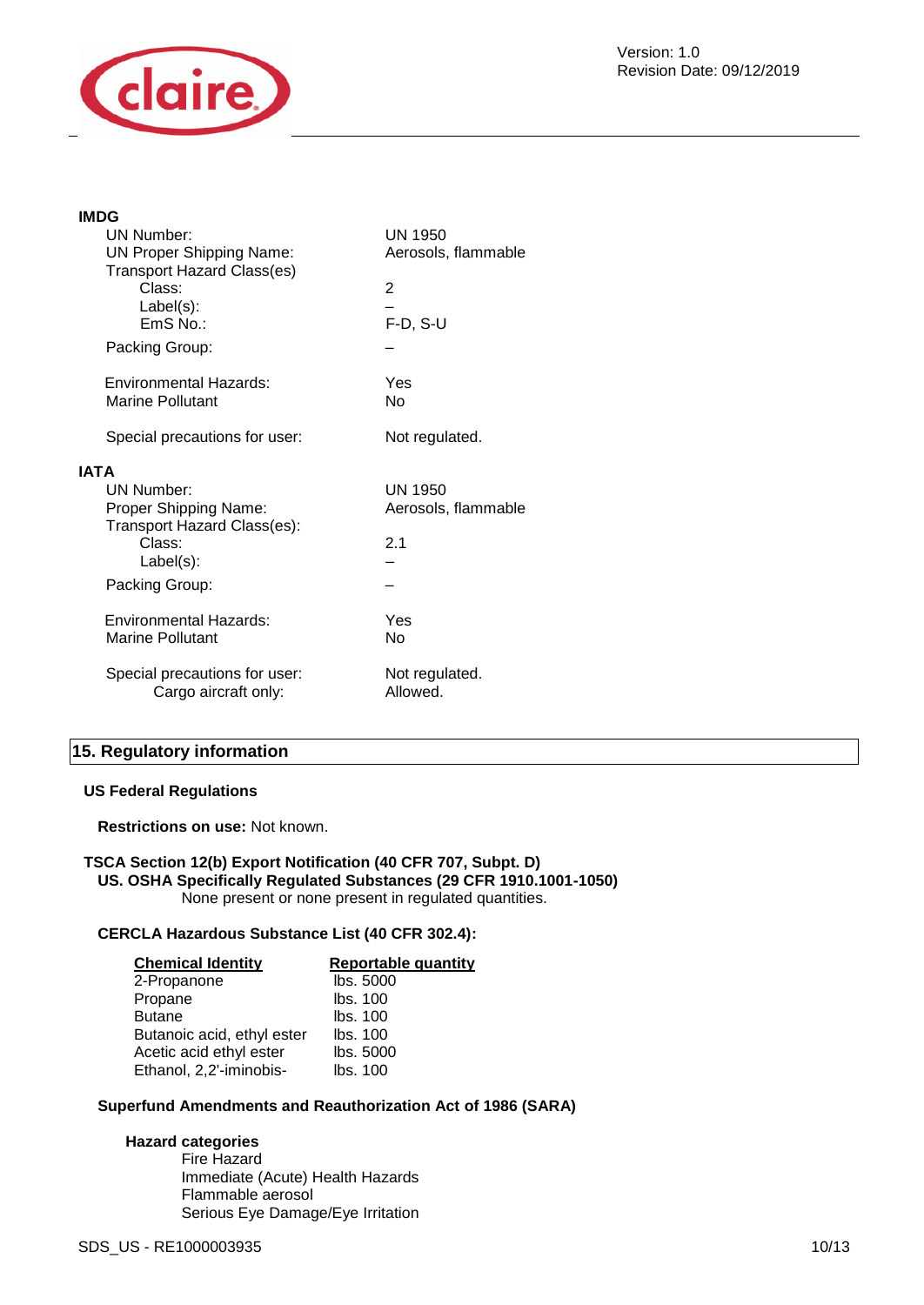

#### **IMDG**

|             | <b>UN Number:</b><br><b>UN Proper Shipping Name:</b><br><b>Transport Hazard Class(es)</b><br>Class:<br>$Label(s)$ :<br>$EmS$ No.:<br>Packing Group: | <b>UN 1950</b><br>Aerosols, flammable<br>2<br>$F-D, S-U$ |
|-------------|-----------------------------------------------------------------------------------------------------------------------------------------------------|----------------------------------------------------------|
|             | Environmental Hazards:<br><b>Marine Pollutant</b><br>Special precautions for user:                                                                  | Yes<br>No<br>Not regulated.                              |
| <b>IATA</b> | UN Number:<br>Proper Shipping Name:<br>Transport Hazard Class(es):<br>Class:<br>$Label(s)$ :<br>Packing Group:                                      | UN 1950<br>Aerosols, flammable<br>2.1                    |
|             | Environmental Hazards:<br><b>Marine Pollutant</b>                                                                                                   | Yes<br>No                                                |
|             | Special precautions for user:<br>Cargo aircraft only:                                                                                               | Not regulated.<br>Allowed.                               |
|             |                                                                                                                                                     |                                                          |

### **15. Regulatory information**

#### **US Federal Regulations**

**Restrictions on use:** Not known.

#### **TSCA Section 12(b) Export Notification (40 CFR 707, Subpt. D) US. OSHA Specifically Regulated Substances (29 CFR 1910.1001-1050)**  None present or none present in regulated quantities.

### **CERCLA Hazardous Substance List (40 CFR 302.4):**

| <b>Chemical Identity</b>   | <b>Reportable quantity</b> |
|----------------------------|----------------------------|
| 2-Propanone                | lbs. 5000                  |
| Propane                    | Ibs. 100                   |
| <b>Butane</b>              | Ibs. 100                   |
| Butanoic acid, ethyl ester | Ibs. 100                   |
| Acetic acid ethyl ester    | lbs. 5000                  |
| Ethanol, 2,2'-iminobis-    | Ibs. 100                   |

### **Superfund Amendments and Reauthorization Act of 1986 (SARA)**

#### **Hazard categories**

Fire Hazard Immediate (Acute) Health Hazards Flammable aerosol Serious Eye Damage/Eye Irritation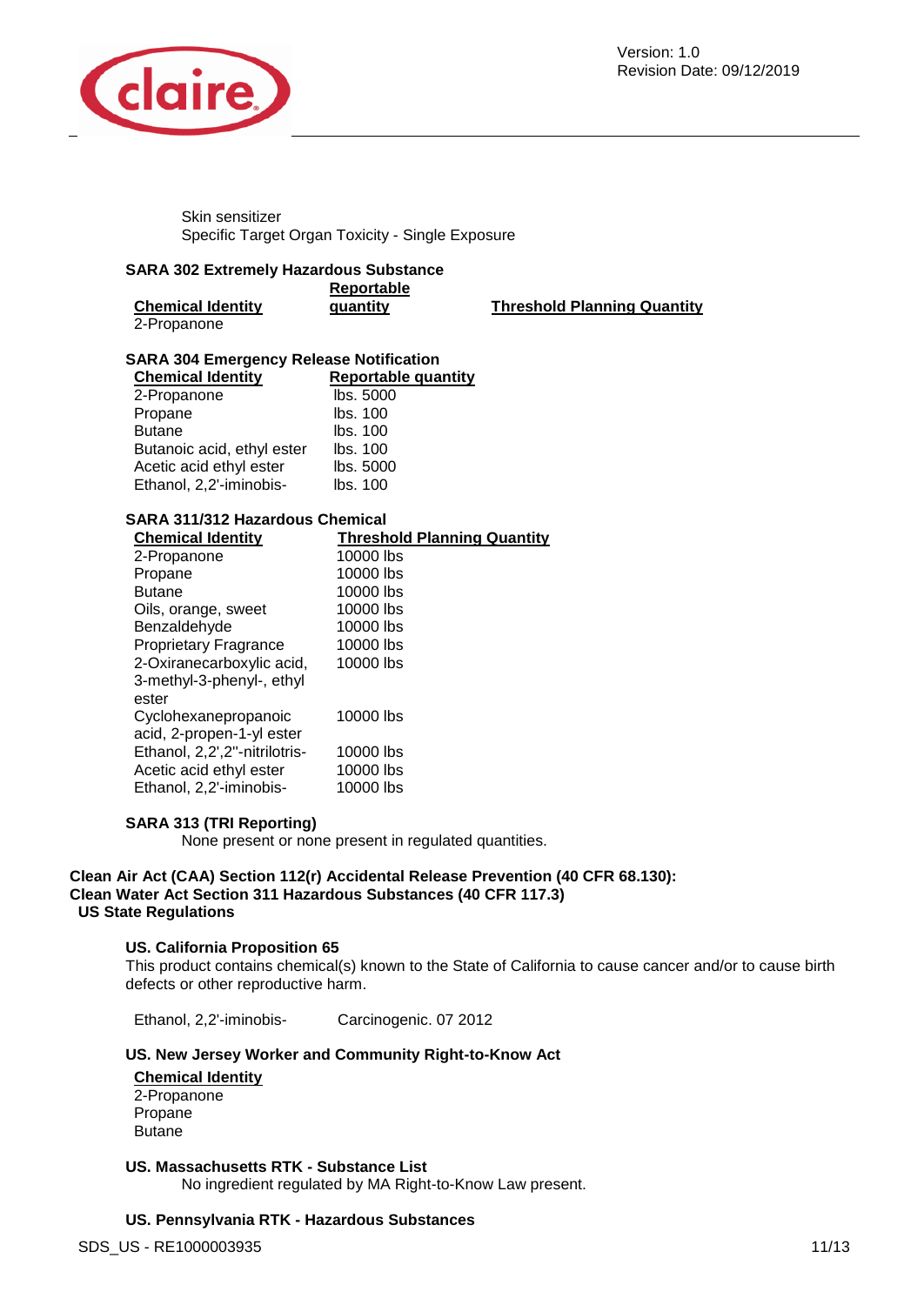

Skin sensitizer Specific Target Organ Toxicity - Single Exposure

#### **SARA 302 Extremely Hazardous Substance**

| <b>Chemical Identity</b> | Reportable<br>quantity |  |
|--------------------------|------------------------|--|
| 2-Propanone              |                        |  |

**Threshold Planning Quantity** 

### **SARA 304 Emergency Release Notification**

| <b>Chemical Identity</b>   | <b>Reportable quantity</b> |
|----------------------------|----------------------------|
| 2-Propanone                | lbs. 5000                  |
| Propane                    | lbs. 100                   |
| <b>Butane</b>              | lbs. 100                   |
| Butanoic acid, ethyl ester | lbs. 100                   |
| Acetic acid ethyl ester    | lbs. 5000                  |
| Ethanol, 2,2'-iminobis-    | lbs. 100                   |

### **SARA 311/312 Hazardous Chemical**

| <b>Chemical Identity</b>      | <b>Threshold Planning Quantity</b> |
|-------------------------------|------------------------------------|
| 2-Propanone                   | 10000 lbs                          |
| Propane                       | 10000 lbs                          |
| <b>Butane</b>                 | 10000 lbs                          |
| Oils, orange, sweet           | 10000 lbs                          |
| Benzaldehyde                  | 10000 lbs                          |
| <b>Proprietary Fragrance</b>  | 10000 lbs                          |
| 2-Oxiranecarboxylic acid,     | 10000 lbs                          |
| 3-methyl-3-phenyl-, ethyl     |                                    |
| ester                         |                                    |
| Cyclohexanepropanoic          | 10000 lbs                          |
| acid, 2-propen-1-yl ester     |                                    |
| Ethanol, 2,2',2"-nitrilotris- | 10000 lbs                          |
| Acetic acid ethyl ester       | 10000 lbs                          |
| Ethanol, 2,2'-iminobis-       | 10000 lbs                          |

### **SARA 313 (TRI Reporting)**

None present or none present in regulated quantities.

### **Clean Air Act (CAA) Section 112(r) Accidental Release Prevention (40 CFR 68.130): Clean Water Act Section 311 Hazardous Substances (40 CFR 117.3) US State Regulations**

### **US. California Proposition 65**

This product contains chemical(s) known to the State of California to cause cancer and/or to cause birth defects or other reproductive harm.

Ethanol, 2,2'-iminobis- Carcinogenic. 07 2012

### **US. New Jersey Worker and Community Right-to-Know Act**

#### **Chemical Identity**

2-Propanone Propane Butane

### **US. Massachusetts RTK - Substance List**

No ingredient regulated by MA Right-to-Know Law present.

### **US. Pennsylvania RTK - Hazardous Substances**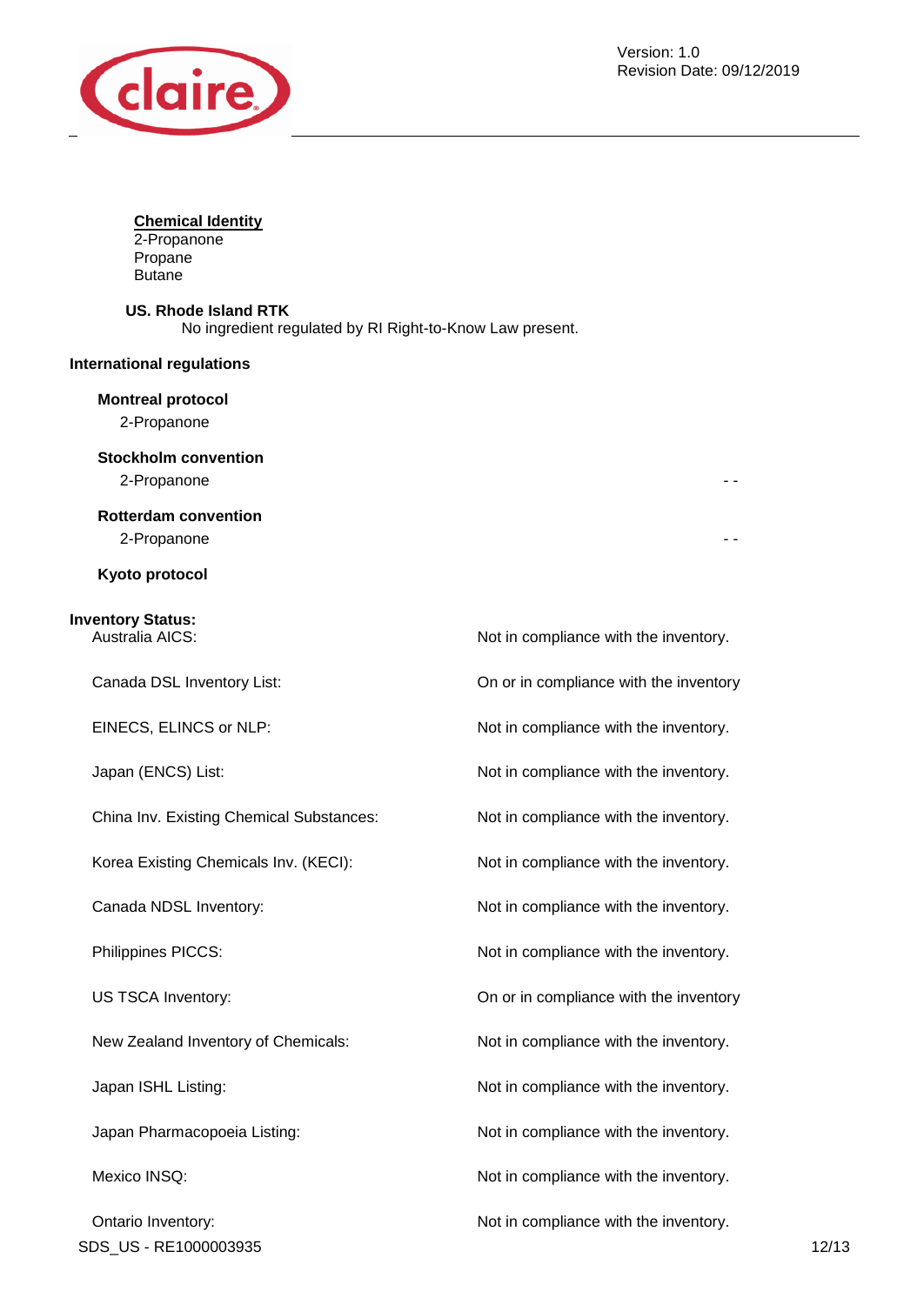

### **Chemical Identity**

2-Propanone Propane Butane

### **US. Rhode Island RTK**

No ingredient regulated by RI Right-to-Know Law present.

### **International regulations**

### **Montreal protocol**

2-Propanone

### **Stockholm convention**

2-Propanone - -

#### **Rotterdam convention**

2-Propanone - -

### **Kyoto protocol**

# **Inventory Status:**

China Inv. Existing Chemical Substances: Not in compliance with the inventory.

Ontario Inventory:  $\blacksquare$  Not in compliance with the inventory. SDS\_US - RE1000003935 12/13

Not in compliance with the inventory. Canada DSL Inventory List: On or in compliance with the inventory EINECS, ELINCS or NLP: Not in compliance with the inventory. Japan (ENCS) List:  $\blacksquare$  Not in compliance with the inventory. Korea Existing Chemicals Inv. (KECI): Not in compliance with the inventory. Canada NDSL Inventory:  $\blacksquare$  Not in compliance with the inventory. Philippines PICCS:  $\blacksquare$  Not in compliance with the inventory. US TSCA Inventory: On or in compliance with the inventory New Zealand Inventory of Chemicals: Not in compliance with the inventory. Japan ISHL Listing:  $\blacksquare$ Japan Pharmacopoeia Listing: The Motion of Not in compliance with the inventory. Mexico INSQ: Mexico INSQ: Not in compliance with the inventory.